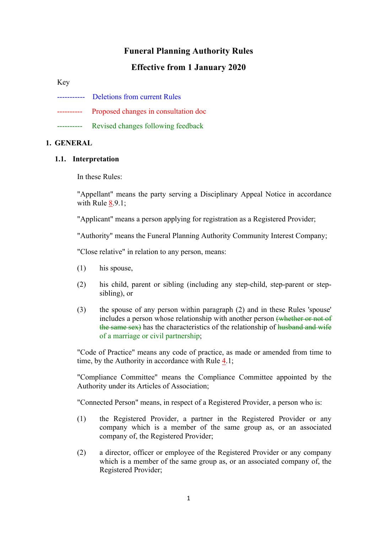# **Funeral Planning Authority Rules**

# **Effective from 1 January 2020**

Key

- ----------- Deletions from current Rules
- ---------- Proposed changes in consultation doc
- ---------- Revised changes following feedback

#### **1. GENERAL**

#### **1.1. Interpretation**

In these Rules:

"Appellant" means the party serving a Disciplinary Appeal Notice in accordance with Rule 8.9.1;

"Applicant" means a person applying for registration as a Registered Provider;

"Authority" means the Funeral Planning Authority Community Interest Company;

"Close relative" in relation to any person, means:

- (1) his spouse,
- (2) his child, parent or sibling (including any step-child, step-parent or stepsibling), or
- (3) the spouse of any person within paragraph (2) and in these Rules 'spouse' includes a person whose relationship with another person (whether or not of the same sex) has the characteristics of the relationship of husband and wife of a marriage or civil partnership;

"Code of Practice" means any code of practice, as made or amended from time to time, by the Authority in accordance with Rule 4.1;

"Compliance Committee" means the Compliance Committee appointed by the Authority under its Articles of Association;

"Connected Person" means, in respect of a Registered Provider, a person who is:

- (1) the Registered Provider, a partner in the Registered Provider or any company which is a member of the same group as, or an associated company of, the Registered Provider;
- (2) a director, officer or employee of the Registered Provider or any company which is a member of the same group as, or an associated company of, the Registered Provider;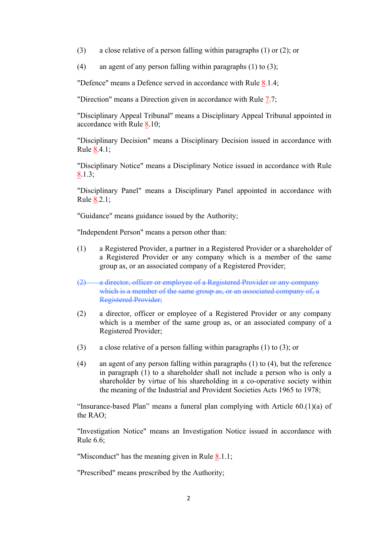(3) a close relative of a person falling within paragraphs (1) or (2); or

(4) an agent of any person falling within paragraphs  $(1)$  to  $(3)$ :

"Defence" means a Defence served in accordance with Rule 8.1.4;

"Direction" means a Direction given in accordance with Rule 7.7;

"Disciplinary Appeal Tribunal" means a Disciplinary Appeal Tribunal appointed in accordance with Rule 8.10;

"Disciplinary Decision" means a Disciplinary Decision issued in accordance with Rule 8.4.1;

"Disciplinary Notice" means a Disciplinary Notice issued in accordance with Rule 8.1.3;

"Disciplinary Panel" means a Disciplinary Panel appointed in accordance with Rule 8.2.1;

"Guidance" means guidance issued by the Authority;

"Independent Person" means a person other than:

- (1) a Registered Provider, a partner in a Registered Provider or a shareholder of a Registered Provider or any company which is a member of the same group as, or an associated company of a Registered Provider;
- (2) a director, officer or employee of a Registered Provider or any company which is a member of the same group as, or an associated company of, a Registered Provider;
- (2) a director, officer or employee of a Registered Provider or any company which is a member of the same group as, or an associated company of a Registered Provider;
- (3) a close relative of a person falling within paragraphs (1) to (3); or
- (4) an agent of any person falling within paragraphs (1) to (4), but the reference in paragraph (1) to a shareholder shall not include a person who is only a shareholder by virtue of his shareholding in a co-operative society within the meaning of the Industrial and Provident Societies Acts 1965 to 1978;

"Insurance-based Plan" means a funeral plan complying with Article 60.(1)(a) of the RAO;

"Investigation Notice" means an Investigation Notice issued in accordance with Rule 6.6;

"Misconduct" has the meaning given in Rule 8.1.1;

"Prescribed" means prescribed by the Authority;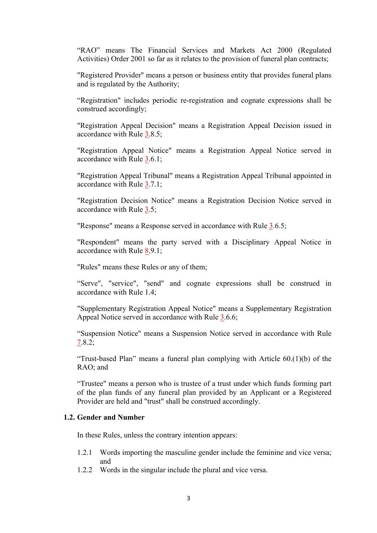"RAO" means The Financial Services and Markets Act 2000 (Regulated Activities) Order 2001 so far as it relates to the provision of funeral plan contracts;

"Registered Provider" means a person or business entity that provides funeral plans and is regulated by the Authority;

"Registration" includes periodic re-registration and cognate expressions shall be construed accordingly;

"Registration Appeal Decision" means a Registration Appeal Decision issued in accordance with Rule 3.8.5;

"Registration Appeal Notice" means a Registration Appeal Notice served in accordance with Rule 3.6.1;

"Registration Appeal Tribunal" means a Registration Appeal Tribunal appointed in accordance with Rule 3.7.1;

"Registration Decision Notice" means a Registration Decision Notice served in accordance with Rule 3.5;

"Response" means a Response served in accordance with Rule 3.6.5;

"Respondent" means the party served with a Disciplinary Appeal Notice in accordance with Rule 8.9.1;

"Rules" means these Rules or any of them;

"Serve", "service", "send" and cognate expressions shall be construed in accordance with Rule 1.4;

"Supplementary Registration Appeal Notice" means a Supplementary Registration Appeal Notice served in accordance with Rule 3.6.6;

"Suspension Notice" means a Suspension Notice served in accordance with Rule 7.8.2;

"Trust-based Plan" means a funeral plan complying with Article  $60(1)(b)$  of the RAO; and

"Trustee" means a person who is trustee of a trust under which funds forming part of the plan funds of any funeral plan provided by an Applicant or a Registered Provider are held and "trust" shall be construed accordingly.

#### **1.2. Gender and Number**

In these Rules, unless the contrary intention appears:

- 1.2.1 Words importing the masculine gender include the feminine and vice versa; and
- 1.2.2 Words in the singular include the plural and vice versa.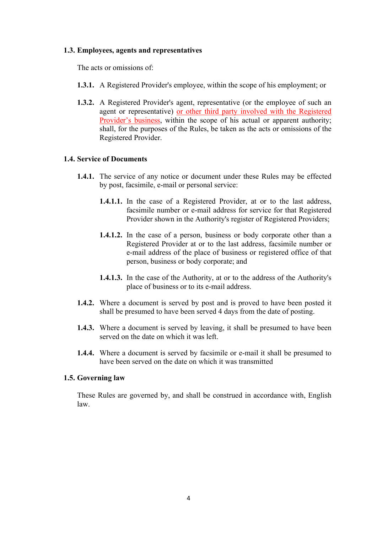#### **1.3. Employees, agents and representatives**

The acts or omissions of

- **1.3.1.** A Registered Provider's employee, within the scope of his employment; or
- **1.3.2.** A Registered Provider's agent, representative (or the employee of such an agent or representative) or other third party involved with the Registered Provider's business, within the scope of his actual or apparent authority; shall, for the purposes of the Rules, be taken as the acts or omissions of the Registered Provider.

## **1.4. Service of Documents**

- **1.4.1.** The service of any notice or document under these Rules may be effected by post, facsimile, e-mail or personal service:
	- **1.4.1.1.** In the case of a Registered Provider, at or to the last address, facsimile number or e-mail address for service for that Registered Provider shown in the Authority's register of Registered Providers;
	- **1.4.1.2.** In the case of a person, business or body corporate other than a Registered Provider at or to the last address, facsimile number or e-mail address of the place of business or registered office of that person, business or body corporate; and
	- **1.4.1.3.** In the case of the Authority, at or to the address of the Authority's place of business or to its e-mail address.
- **1.4.2.** Where a document is served by post and is proved to have been posted it shall be presumed to have been served 4 days from the date of posting.
- **1.4.3.** Where a document is served by leaving, it shall be presumed to have been served on the date on which it was left.
- **1.4.4.** Where a document is served by facsimile or e-mail it shall be presumed to have been served on the date on which it was transmitted

#### **1.5. Governing law**

These Rules are governed by, and shall be construed in accordance with, English law.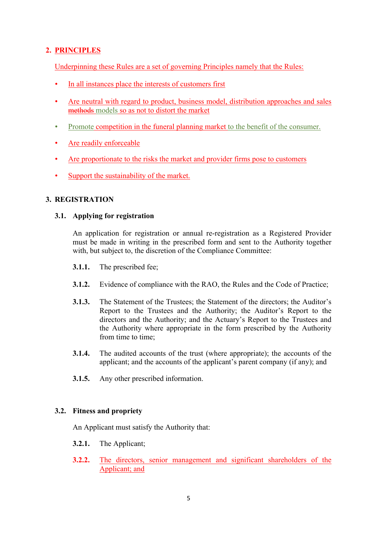# **2. PRINCIPLES**

Underpinning these Rules are a set of governing Principles namely that the Rules:

- In all instances place the interests of customers first
- Are neutral with regard to product, business model, distribution approaches and sales methods models so as not to distort the market
- Promote competition in the funeral planning market to the benefit of the consumer.
- Are readily enforceable
- Are proportionate to the risks the market and provider firms pose to customers
- Support the sustainability of the market.

# **3. REGISTRATION**

# **3.1. Applying for registration**

An application for registration or annual re-registration as a Registered Provider must be made in writing in the prescribed form and sent to the Authority together with, but subject to, the discretion of the Compliance Committee:

- **3.1.1.** The prescribed fee;
- **3.1.2.** Evidence of compliance with the RAO, the Rules and the Code of Practice;
- **3.1.3.** The Statement of the Trustees; the Statement of the directors; the Auditor's Report to the Trustees and the Authority; the Auditor's Report to the directors and the Authority; and the Actuary's Report to the Trustees and the Authority where appropriate in the form prescribed by the Authority from time to time;
- **3.1.4.** The audited accounts of the trust (where appropriate); the accounts of the applicant; and the accounts of the applicant's parent company (if any); and
- **3.1.5.** Any other prescribed information.

# **3.2. Fitness and propriety**

An Applicant must satisfy the Authority that:

- **3.2.1.** The Applicant;
- **3.2.2.** The directors, senior management and significant shareholders of the Applicant; and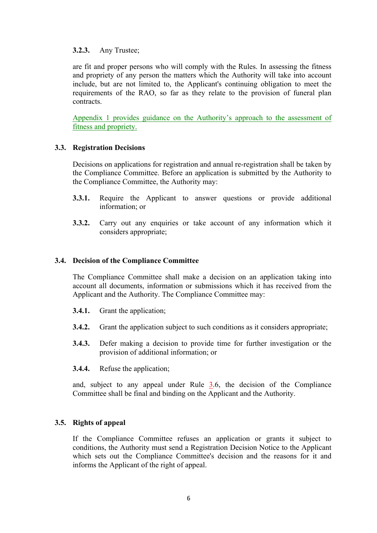## **3.2.3.** Any Trustee;

are fit and proper persons who will comply with the Rules. In assessing the fitness and propriety of any person the matters which the Authority will take into account include, but are not limited to, the Applicant's continuing obligation to meet the requirements of the RAO, so far as they relate to the provision of funeral plan contracts.

Appendix 1 provides guidance on the Authority's approach to the assessment of fitness and propriety.

## **3.3. Registration Decisions**

Decisions on applications for registration and annual re-registration shall be taken by the Compliance Committee. Before an application is submitted by the Authority to the Compliance Committee, the Authority may:

- **3.3.1.** Require the Applicant to answer questions or provide additional information; or
- **3.3.2.** Carry out any enquiries or take account of any information which it considers appropriate;

#### **3.4. Decision of the Compliance Committee**

The Compliance Committee shall make a decision on an application taking into account all documents, information or submissions which it has received from the Applicant and the Authority. The Compliance Committee may:

- **3.4.1.** Grant the application;
- **3.4.2.** Grant the application subject to such conditions as it considers appropriate;
- **3.4.3.** Defer making a decision to provide time for further investigation or the provision of additional information; or
- **3.4.4.** Refuse the application;

and, subject to any appeal under Rule 3.6, the decision of the Compliance Committee shall be final and binding on the Applicant and the Authority.

#### **3.5. Rights of appeal**

If the Compliance Committee refuses an application or grants it subject to conditions, the Authority must send a Registration Decision Notice to the Applicant which sets out the Compliance Committee's decision and the reasons for it and informs the Applicant of the right of appeal.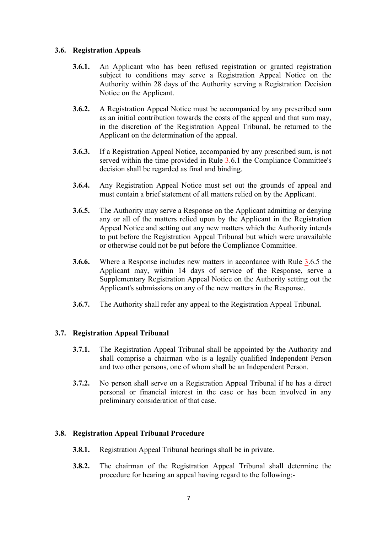## **3.6. Registration Appeals**

- **3.6.1.** An Applicant who has been refused registration or granted registration subject to conditions may serve a Registration Appeal Notice on the Authority within 28 days of the Authority serving a Registration Decision Notice on the Applicant.
- **3.6.2.** A Registration Appeal Notice must be accompanied by any prescribed sum as an initial contribution towards the costs of the appeal and that sum may, in the discretion of the Registration Appeal Tribunal, be returned to the Applicant on the determination of the appeal.
- **3.6.3.** If a Registration Appeal Notice, accompanied by any prescribed sum, is not served within the time provided in Rule 3.6.1 the Compliance Committee's decision shall be regarded as final and binding.
- **3.6.4.** Any Registration Appeal Notice must set out the grounds of appeal and must contain a brief statement of all matters relied on by the Applicant.
- **3.6.5.** The Authority may serve a Response on the Applicant admitting or denying any or all of the matters relied upon by the Applicant in the Registration Appeal Notice and setting out any new matters which the Authority intends to put before the Registration Appeal Tribunal but which were unavailable or otherwise could not be put before the Compliance Committee.
- **3.6.6.** Where a Response includes new matters in accordance with Rule 3.6.5 the Applicant may, within 14 days of service of the Response, serve a Supplementary Registration Appeal Notice on the Authority setting out the Applicant's submissions on any of the new matters in the Response.
- **3.6.7.** The Authority shall refer any appeal to the Registration Appeal Tribunal.

# **3.7. Registration Appeal Tribunal**

- **3.7.1.** The Registration Appeal Tribunal shall be appointed by the Authority and shall comprise a chairman who is a legally qualified Independent Person and two other persons, one of whom shall be an Independent Person.
- **3.7.2.** No person shall serve on a Registration Appeal Tribunal if he has a direct personal or financial interest in the case or has been involved in any preliminary consideration of that case.

#### **3.8. Registration Appeal Tribunal Procedure**

- **3.8.1.** Registration Appeal Tribunal hearings shall be in private.
- **3.8.2.** The chairman of the Registration Appeal Tribunal shall determine the procedure for hearing an appeal having regard to the following:-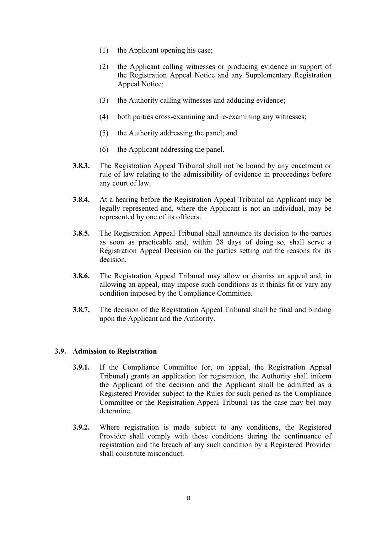- (1) the Applicant opening his case;
- (2) the Applicant calling witnesses or producing evidence in support of the Registration Appeal Notice and any Supplementary Registration Appeal Notice;
- (3) the Authority calling witnesses and adducing evidence;
- (4) both parties cross-examining and re-examining any witnesses;
- (5) the Authority addressing the panel; and
- (6) the Applicant addressing the panel.
- **3.8.3.** The Registration Appeal Tribunal shall not be bound by any enactment or rule of law relating to the admissibility of evidence in proceedings before any court of law.
- **3.8.4.** At a hearing before the Registration Appeal Tribunal an Applicant may be legally represented and, where the Applicant is not an individual, may be represented by one of its officers.
- **3.8.5.** The Registration Appeal Tribunal shall announce its decision to the parties as soon as practicable and, within 28 days of doing so, shall serve a Registration Appeal Decision on the parties setting out the reasons for its decision.
- **3.8.6.** The Registration Appeal Tribunal may allow or dismiss an appeal and, in allowing an appeal, may impose such conditions as it thinks fit or vary any condition imposed by the Compliance Committee.
- **3.8.7.** The decision of the Registration Appeal Tribunal shall be final and binding upon the Applicant and the Authority.

#### **3.9. Admission to Registration**

- **3.9.1.** If the Compliance Committee (or, on appeal, the Registration Appeal Tribunal) grants an application for registration, the Authority shall inform the Applicant of the decision and the Applicant shall be admitted as a Registered Provider subject to the Rules for such period as the Compliance Committee or the Registration Appeal Tribunal (as the case may be) may determine.
- **3.9.2.** Where registration is made subject to any conditions, the Registered Provider shall comply with those conditions during the continuance of registration and the breach of any such condition by a Registered Provider shall constitute misconduct.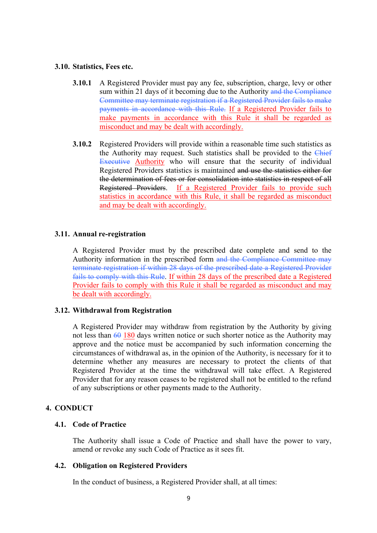#### **3.10. Statistics, Fees etc.**

- **3.10.1** A Registered Provider must pay any fee, subscription, charge, levy or other sum within 21 days of it becoming due to the Authority and the Compliance Committee may terminate registration if a Registered Provider fails to make payments in accordance with this Rule. If a Registered Provider fails to make payments in accordance with this Rule it shall be regarded as misconduct and may be dealt with accordingly.
- **3.10.2** Registered Providers will provide within a reasonable time such statistics as the Authority may request. Such statistics shall be provided to the Chief Executive Authority who will ensure that the security of individual Registered Providers statistics is maintained and use the statistics either for the determination of fees or for consolidation into statistics in respect of all Registered Providers. If a Registered Provider fails to provide such statistics in accordance with this Rule, it shall be regarded as misconduct and may be dealt with accordingly.

#### **3.11. Annual re-registration**

A Registered Provider must by the prescribed date complete and send to the Authority information in the prescribed form and the Compliance Committee may terminate registration if within 28 days of the prescribed date a Registered Provider fails to comply with this Rule. If within 28 days of the prescribed date a Registered Provider fails to comply with this Rule it shall be regarded as misconduct and may be dealt with accordingly.

#### **3.12. Withdrawal from Registration**

A Registered Provider may withdraw from registration by the Authority by giving not less than  $60$  180 days written notice or such shorter notice as the Authority may approve and the notice must be accompanied by such information concerning the circumstances of withdrawal as, in the opinion of the Authority, is necessary for it to determine whether any measures are necessary to protect the clients of that Registered Provider at the time the withdrawal will take effect. A Registered Provider that for any reason ceases to be registered shall not be entitled to the refund of any subscriptions or other payments made to the Authority.

#### **4. CONDUCT**

#### **4.1. Code of Practice**

The Authority shall issue a Code of Practice and shall have the power to vary, amend or revoke any such Code of Practice as it sees fit.

#### **4.2. Obligation on Registered Providers**

In the conduct of business, a Registered Provider shall, at all times: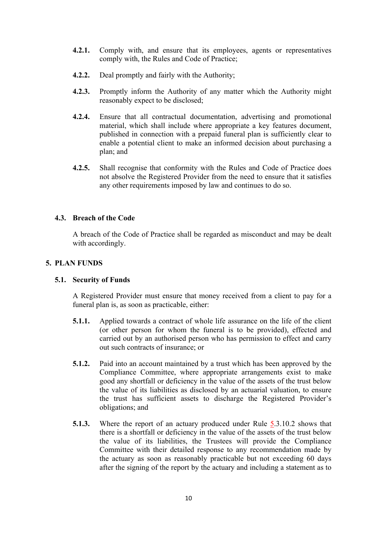- **4.2.1.** Comply with, and ensure that its employees, agents or representatives comply with, the Rules and Code of Practice;
- **4.2.2.** Deal promptly and fairly with the Authority;
- **4.2.3.** Promptly inform the Authority of any matter which the Authority might reasonably expect to be disclosed;
- **4.2.4.** Ensure that all contractual documentation, advertising and promotional material, which shall include where appropriate a key features document, published in connection with a prepaid funeral plan is sufficiently clear to enable a potential client to make an informed decision about purchasing a plan; and
- **4.2.5.** Shall recognise that conformity with the Rules and Code of Practice does not absolve the Registered Provider from the need to ensure that it satisfies any other requirements imposed by law and continues to do so.

## **4.3. Breach of the Code**

A breach of the Code of Practice shall be regarded as misconduct and may be dealt with accordingly.

## **5. PLAN FUNDS**

#### **5.1. Security of Funds**

A Registered Provider must ensure that money received from a client to pay for a funeral plan is, as soon as practicable, either:

- **5.1.1.** Applied towards a contract of whole life assurance on the life of the client (or other person for whom the funeral is to be provided), effected and carried out by an authorised person who has permission to effect and carry out such contracts of insurance; or
- **5.1.2.** Paid into an account maintained by a trust which has been approved by the Compliance Committee, where appropriate arrangements exist to make good any shortfall or deficiency in the value of the assets of the trust below the value of its liabilities as disclosed by an actuarial valuation, to ensure the trust has sufficient assets to discharge the Registered Provider's obligations; and
- **5.1.3.** Where the report of an actuary produced under Rule 5.3.10.2 shows that there is a shortfall or deficiency in the value of the assets of the trust below the value of its liabilities, the Trustees will provide the Compliance Committee with their detailed response to any recommendation made by the actuary as soon as reasonably practicable but not exceeding 60 days after the signing of the report by the actuary and including a statement as to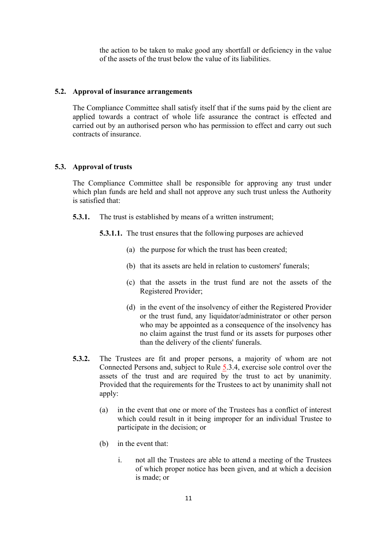the action to be taken to make good any shortfall or deficiency in the value of the assets of the trust below the value of its liabilities.

#### **5.2. Approval of insurance arrangements**

The Compliance Committee shall satisfy itself that if the sums paid by the client are applied towards a contract of whole life assurance the contract is effected and carried out by an authorised person who has permission to effect and carry out such contracts of insurance.

#### **5.3. Approval of trusts**

The Compliance Committee shall be responsible for approving any trust under which plan funds are held and shall not approve any such trust unless the Authority is satisfied that:

- **5.3.1.** The trust is established by means of a written instrument;
	- **5.3.1.1.** The trust ensures that the following purposes are achieved
		- (a) the purpose for which the trust has been created;
		- (b) that its assets are held in relation to customers' funerals;
		- (c) that the assets in the trust fund are not the assets of the Registered Provider;
		- (d) in the event of the insolvency of either the Registered Provider or the trust fund, any liquidator/administrator or other person who may be appointed as a consequence of the insolvency has no claim against the trust fund or its assets for purposes other than the delivery of the clients' funerals.
- **5.3.2.** The Trustees are fit and proper persons, a majority of whom are not Connected Persons and, subject to Rule 5.3.4, exercise sole control over the assets of the trust and are required by the trust to act by unanimity. Provided that the requirements for the Trustees to act by unanimity shall not apply:
	- (a) in the event that one or more of the Trustees has a conflict of interest which could result in it being improper for an individual Trustee to participate in the decision; or
	- (b) in the event that:
		- i. not all the Trustees are able to attend a meeting of the Trustees of which proper notice has been given, and at which a decision is made; or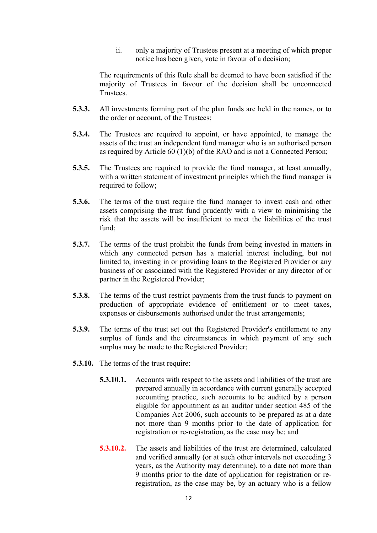ii. only a majority of Trustees present at a meeting of which proper notice has been given, vote in favour of a decision;

The requirements of this Rule shall be deemed to have been satisfied if the majority of Trustees in favour of the decision shall be unconnected Trustees.

- **5.3.3.** All investments forming part of the plan funds are held in the names, or to the order or account, of the Trustees;
- **5.3.4.** The Trustees are required to appoint, or have appointed, to manage the assets of the trust an independent fund manager who is an authorised person as required by Article 60 (1)(b) of the RAO and is not a Connected Person;
- **5.3.5.** The Trustees are required to provide the fund manager, at least annually, with a written statement of investment principles which the fund manager is required to follow;
- **5.3.6.** The terms of the trust require the fund manager to invest cash and other assets comprising the trust fund prudently with a view to minimising the risk that the assets will be insufficient to meet the liabilities of the trust fund;
- **5.3.7.** The terms of the trust prohibit the funds from being invested in matters in which any connected person has a material interest including, but not limited to, investing in or providing loans to the Registered Provider or any business of or associated with the Registered Provider or any director of or partner in the Registered Provider;
- **5.3.8.** The terms of the trust restrict payments from the trust funds to payment on production of appropriate evidence of entitlement or to meet taxes, expenses or disbursements authorised under the trust arrangements;
- **5.3.9.** The terms of the trust set out the Registered Provider's entitlement to any surplus of funds and the circumstances in which payment of any such surplus may be made to the Registered Provider;
- **5.3.10.** The terms of the trust require:
	- **5.3.10.1.** Accounts with respect to the assets and liabilities of the trust are prepared annually in accordance with current generally accepted accounting practice, such accounts to be audited by a person eligible for appointment as an auditor under section 485 of the Companies Act 2006, such accounts to be prepared as at a date not more than 9 months prior to the date of application for registration or re-registration, as the case may be; and
	- **5.3.10.2.** The assets and liabilities of the trust are determined, calculated and verified annually (or at such other intervals not exceeding 3 years, as the Authority may determine), to a date not more than 9 months prior to the date of application for registration or reregistration, as the case may be, by an actuary who is a fellow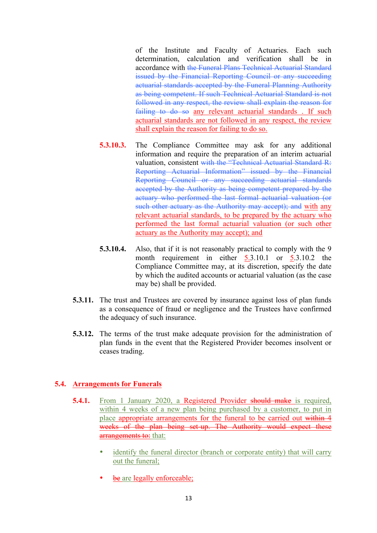of the Institute and Faculty of Actuaries. Each such determination, calculation and verification shall be in accordance with the Funeral Plans Technical Actuarial Standard issued by the Financial Reporting Council or any succeeding actuarial standards accepted by the Funeral Planning Authority as being competent. If such Technical Actuarial Standard is not followed in any respect, the review shall explain the reason for failing to do so any relevant actuarial standards. If such actuarial standards are not followed in any respect, the review shall explain the reason for failing to do so.

- **5.3.10.3.** The Compliance Committee may ask for any additional information and require the preparation of an interim actuarial valuation, consistent with the "Technical Actuarial Standard R: Reporting Actuarial Information" issued by the Financial Reporting Council or any succeeding actuarial standards accepted by the Authority as being competent prepared by the actuary who performed the last formal actuarial valuation (or such other actuary as the Authority may accept); and with any relevant actuarial standards, to be prepared by the actuary who performed the last formal actuarial valuation (or such other actuary as the Authority may accept); and
- **5.3.10.4.** Also, that if it is not reasonably practical to comply with the 9 month requirement in either  $5.3.10.1$  or  $5.3.10.2$  the Compliance Committee may, at its discretion, specify the date by which the audited accounts or actuarial valuation (as the case may be) shall be provided.
- **5.3.11.** The trust and Trustees are covered by insurance against loss of plan funds as a consequence of fraud or negligence and the Trustees have confirmed the adequacy of such insurance.
- **5.3.12.** The terms of the trust make adequate provision for the administration of plan funds in the event that the Registered Provider becomes insolvent or ceases trading.

# **5.4. Arrangements for Funerals**

- **5.4.1.** From 1 January 2020, a Registered Provider should make is required, within 4 weeks of a new plan being purchased by a customer, to put in place appropriate arrangements for the funeral to be carried out within 4 weeks of the plan being set-up. The Authority would expect these arrangements to: that:
	- identify the funeral director (branch or corporate entity) that will carry out the funeral;
	- be are legally enforceable;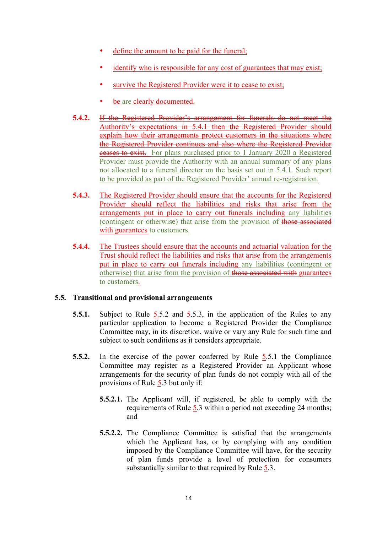- define the amount to be paid for the funeral;
- identify who is responsible for any cost of guarantees that may exist;
- survive the Registered Provider were it to cease to exist;
- be are clearly documented.
- **5.4.2.** If the Registered Provider's arrangement for funerals do not meet the Authority's expectations in 5.4.1 then the Registered Provider should explain how their arrangements protect customers in the situations where the Registered Provider continues and also where the Registered Provider ceases to exist. For plans purchased prior to 1 January 2020 a Registered Provider must provide the Authority with an annual summary of any plans not allocated to a funeral director on the basis set out in 5.4.1. Such report to be provided as part of the Registered Provider' annual re-registration.
- **5.4.3.** The Registered Provider should ensure that the accounts for the Registered Provider should reflect the liabilities and risks that arise from the arrangements put in place to carry out funerals including any liabilities (contingent or otherwise) that arise from the provision of those associated with guarantees to customers.
- **5.4.4.** The Trustees should ensure that the accounts and actuarial valuation for the Trust should reflect the liabilities and risks that arise from the arrangements put in place to carry out funerals including any liabilities (contingent or otherwise) that arise from the provision of those associated with guarantees to customers.

# **5.5. Transitional and provisional arrangements**

- **5.5.1.** Subject to Rule 5.5.2 and 5.5.3, in the application of the Rules to any particular application to become a Registered Provider the Compliance Committee may, in its discretion, waive or vary any Rule for such time and subject to such conditions as it considers appropriate.
- **5.5.2.** In the exercise of the power conferred by Rule 5.5.1 the Compliance Committee may register as a Registered Provider an Applicant whose arrangements for the security of plan funds do not comply with all of the provisions of Rule 5.3 but only if:
	- **5.5.2.1.** The Applicant will, if registered, be able to comply with the requirements of Rule 5.3 within a period not exceeding 24 months; and
	- **5.5.2.2.** The Compliance Committee is satisfied that the arrangements which the Applicant has, or by complying with any condition imposed by the Compliance Committee will have, for the security of plan funds provide a level of protection for consumers substantially similar to that required by Rule 5.3.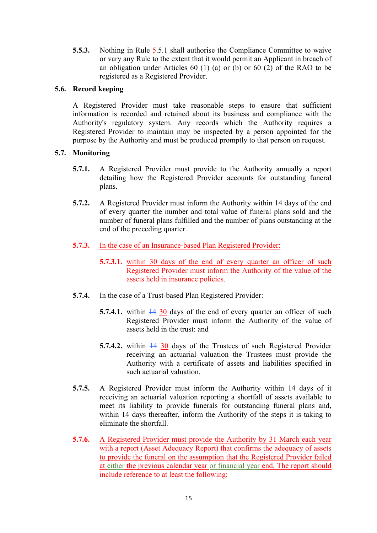**5.5.3.** Nothing in Rule 5.5.1 shall authorise the Compliance Committee to waive or vary any Rule to the extent that it would permit an Applicant in breach of an obligation under Articles 60 (1) (a) or (b) or 60 (2) of the RAO to be registered as a Registered Provider.

# **5.6. Record keeping**

A Registered Provider must take reasonable steps to ensure that sufficient information is recorded and retained about its business and compliance with the Authority's regulatory system. Any records which the Authority requires a Registered Provider to maintain may be inspected by a person appointed for the purpose by the Authority and must be produced promptly to that person on request.

# **5.7. Monitoring**

- **5.7.1.** A Registered Provider must provide to the Authority annually a report detailing how the Registered Provider accounts for outstanding funeral plans.
- **5.7.2.** A Registered Provider must inform the Authority within 14 days of the end of every quarter the number and total value of funeral plans sold and the number of funeral plans fulfilled and the number of plans outstanding at the end of the preceding quarter.
- **5.7.3.** In the case of an Insurance-based Plan Registered Provider:
	- **5.7.3.1.** within 30 days of the end of every quarter an officer of such Registered Provider must inform the Authority of the value of the assets held in insurance policies.
- **5.7.4.** In the case of a Trust-based Plan Registered Provider:
	- **5.7.4.1.** within  $\frac{14}{30}$  days of the end of every quarter an officer of such Registered Provider must inform the Authority of the value of assets held in the trust: and
	- **5.7.4.2.** within  $\frac{14}{30}$  days of the Trustees of such Registered Provider receiving an actuarial valuation the Trustees must provide the Authority with a certificate of assets and liabilities specified in such actuarial valuation.
- **5.7.5.** A Registered Provider must inform the Authority within 14 days of it receiving an actuarial valuation reporting a shortfall of assets available to meet its liability to provide funerals for outstanding funeral plans and, within 14 days thereafter, inform the Authority of the steps it is taking to eliminate the shortfall.
- **5.7.6.** A Registered Provider must provide the Authority by 31 March each year with a report (Asset Adequacy Report) that confirms the adequacy of assets to provide the funeral on the assumption that the Registered Provider failed at either the previous calendar year or financial year end. The report should include reference to at least the following: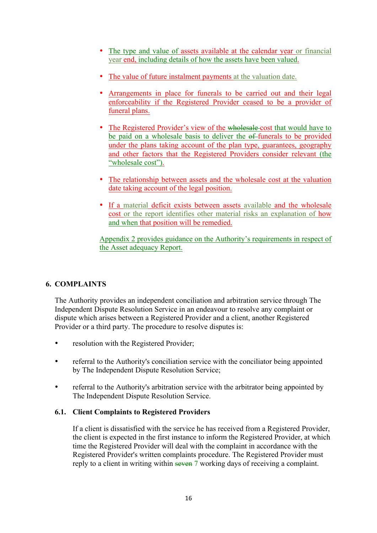- The type and value of assets available at the calendar year or financial year end, including details of how the assets have been valued.
- The value of future instalment payments at the valuation date.
- Arrangements in place for funerals to be carried out and their legal enforceability if the Registered Provider ceased to be a provider of funeral plans.
- The Registered Provider's view of the wholesale cost that would have to be paid on a wholesale basis to deliver the  $\theta$ -funerals to be provided under the plans taking account of the plan type, guarantees, geography and other factors that the Registered Providers consider relevant (the "wholesale cost").
- The relationship between assets and the wholesale cost at the valuation date taking account of the legal position.
- If a material deficit exists between assets available and the wholesale cost or the report identifies other material risks an explanation of how and when that position will be remedied.

Appendix 2 provides guidance on the Authority's requirements in respect of the Asset adequacy Report.

# **6. COMPLAINTS**

The Authority provides an independent conciliation and arbitration service through The Independent Dispute Resolution Service in an endeavour to resolve any complaint or dispute which arises between a Registered Provider and a client, another Registered Provider or a third party. The procedure to resolve disputes is:

- resolution with the Registered Provider;
- referral to the Authority's conciliation service with the conciliator being appointed by The Independent Dispute Resolution Service;
- referral to the Authority's arbitration service with the arbitrator being appointed by The Independent Dispute Resolution Service.

# **6.1. Client Complaints to Registered Providers**

If a client is dissatisfied with the service he has received from a Registered Provider, the client is expected in the first instance to inform the Registered Provider, at which time the Registered Provider will deal with the complaint in accordance with the Registered Provider's written complaints procedure. The Registered Provider must reply to a client in writing within seven 7 working days of receiving a complaint.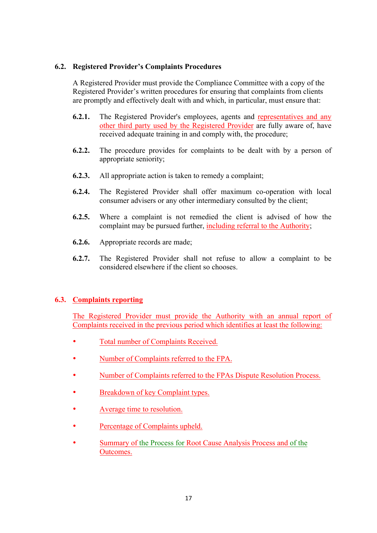## **6.2. Registered Provider's Complaints Procedures**

A Registered Provider must provide the Compliance Committee with a copy of the Registered Provider's written procedures for ensuring that complaints from clients are promptly and effectively dealt with and which, in particular, must ensure that:

- **6.2.1.** The Registered Provider's employees, agents and representatives and any other third party used by the Registered Provider are fully aware of, have received adequate training in and comply with, the procedure;
- **6.2.2.** The procedure provides for complaints to be dealt with by a person of appropriate seniority;
- **6.2.3.** All appropriate action is taken to remedy a complaint;
- **6.2.4.** The Registered Provider shall offer maximum co-operation with local consumer advisers or any other intermediary consulted by the client;
- **6.2.5.** Where a complaint is not remedied the client is advised of how the complaint may be pursued further, including referral to the Authority;
- **6.2.6.** Appropriate records are made;
- **6.2.7.** The Registered Provider shall not refuse to allow a complaint to be considered elsewhere if the client so chooses.

# **6.3. Complaints reporting**

The Registered Provider must provide the Authority with an annual report of Complaints received in the previous period which identifies at least the following:

- Total number of Complaints Received.
- Number of Complaints referred to the FPA.
- Number of Complaints referred to the FPAs Dispute Resolution Process.
- Breakdown of key Complaint types.
- Average time to resolution.
- Percentage of Complaints upheld.
- Summary of the Process for Root Cause Analysis Process and of the Outcomes.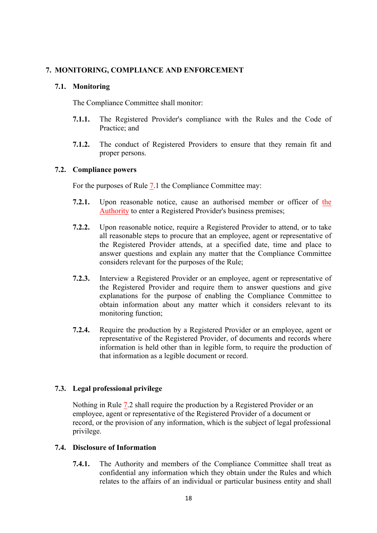# **7. MONITORING, COMPLIANCE AND ENFORCEMENT**

# **7.1. Monitoring**

The Compliance Committee shall monitor:

- **7.1.1.** The Registered Provider's compliance with the Rules and the Code of Practice; and
- **7.1.2.** The conduct of Registered Providers to ensure that they remain fit and proper persons.

## **7.2. Compliance powers**

For the purposes of Rule 7.1 the Compliance Committee may:

- **7.2.1.** Upon reasonable notice, cause an authorised member or officer of the Authority to enter a Registered Provider's business premises;
- **7.2.2.** Upon reasonable notice, require a Registered Provider to attend, or to take all reasonable steps to procure that an employee, agent or representative of the Registered Provider attends, at a specified date, time and place to answer questions and explain any matter that the Compliance Committee considers relevant for the purposes of the Rule;
- **7.2.3.** Interview a Registered Provider or an employee, agent or representative of the Registered Provider and require them to answer questions and give explanations for the purpose of enabling the Compliance Committee to obtain information about any matter which it considers relevant to its monitoring function;
- **7.2.4.** Require the production by a Registered Provider or an employee, agent or representative of the Registered Provider, of documents and records where information is held other than in legible form, to require the production of that information as a legible document or record.

# **7.3. Legal professional privilege**

Nothing in Rule 7.2 shall require the production by a Registered Provider or an employee, agent or representative of the Registered Provider of a document or record, or the provision of any information, which is the subject of legal professional privilege.

# **7.4. Disclosure of Information**

**7.4.1.** The Authority and members of the Compliance Committee shall treat as confidential any information which they obtain under the Rules and which relates to the affairs of an individual or particular business entity and shall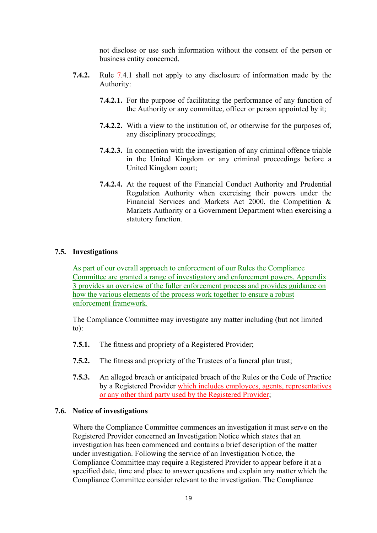not disclose or use such information without the consent of the person or business entity concerned.

- **7.4.2.** Rule 7.4.1 shall not apply to any disclosure of information made by the Authority:
	- **7.4.2.1.** For the purpose of facilitating the performance of any function of the Authority or any committee, officer or person appointed by it;
	- **7.4.2.2.** With a view to the institution of, or otherwise for the purposes of, any disciplinary proceedings;
	- **7.4.2.3.** In connection with the investigation of any criminal offence triable in the United Kingdom or any criminal proceedings before a United Kingdom court;
	- **7.4.2.4.** At the request of the Financial Conduct Authority and Prudential Regulation Authority when exercising their powers under the Financial Services and Markets Act 2000, the Competition & Markets Authority or a Government Department when exercising a statutory function.

## **7.5. Investigations**

As part of our overall approach to enforcement of our Rules the Compliance Committee are granted a range of investigatory and enforcement powers. Appendix 3 provides an overview of the fuller enforcement process and provides guidance on how the various elements of the process work together to ensure a robust enforcement framework.

The Compliance Committee may investigate any matter including (but not limited to):

- **7.5.1.** The fitness and propriety of a Registered Provider;
- **7.5.2.** The fitness and propriety of the Trustees of a funeral plan trust;
- **7.5.3.** An alleged breach or anticipated breach of the Rules or the Code of Practice by a Registered Provider which includes employees, agents, representatives or any other third party used by the Registered Provider;

#### **7.6. Notice of investigations**

Where the Compliance Committee commences an investigation it must serve on the Registered Provider concerned an Investigation Notice which states that an investigation has been commenced and contains a brief description of the matter under investigation. Following the service of an Investigation Notice, the Compliance Committee may require a Registered Provider to appear before it at a specified date, time and place to answer questions and explain any matter which the Compliance Committee consider relevant to the investigation. The Compliance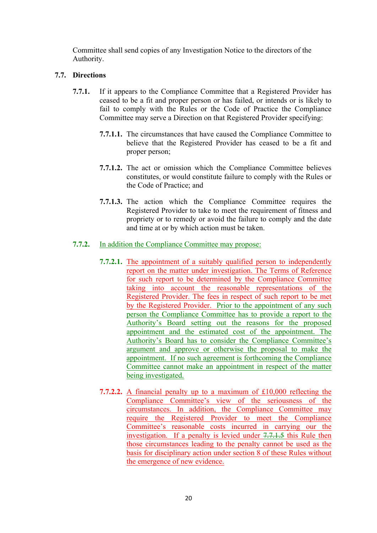Committee shall send copies of any Investigation Notice to the directors of the Authority.

# **7.7. Directions**

- **7.7.1.** If it appears to the Compliance Committee that a Registered Provider has ceased to be a fit and proper person or has failed, or intends or is likely to fail to comply with the Rules or the Code of Practice the Compliance Committee may serve a Direction on that Registered Provider specifying:
	- **7.7.1.1.** The circumstances that have caused the Compliance Committee to believe that the Registered Provider has ceased to be a fit and proper person;
	- **7.7.1.2.** The act or omission which the Compliance Committee believes constitutes, or would constitute failure to comply with the Rules or the Code of Practice; and
	- **7.7.1.3.** The action which the Compliance Committee requires the Registered Provider to take to meet the requirement of fitness and propriety or to remedy or avoid the failure to comply and the date and time at or by which action must be taken.

# **7.7.2.** In addition the Compliance Committee may propose:

- **7.7.2.1.** The appointment of a suitably qualified person to independently report on the matter under investigation. The Terms of Reference for such report to be determined by the Compliance Committee taking into account the reasonable representations of the Registered Provider. The fees in respect of such report to be met by the Registered Provider. Prior to the appointment of any such person the Compliance Committee has to provide a report to the Authority's Board setting out the reasons for the proposed appointment and the estimated cost of the appointment. The Authority's Board has to consider the Compliance Committee's argument and approve or otherwise the proposal to make the appointment. If no such agreement is forthcoming the Compliance Committee cannot make an appointment in respect of the matter being investigated.
- **7.7.2.2.** A financial penalty up to a maximum of £10,000 reflecting the Compliance Committee's view of the seriousness of the circumstances. In addition, the Compliance Committee may require the Registered Provider to meet the Compliance Committee's reasonable costs incurred in carrying our the investigation. If a penalty is levied under 7.7.1.5 this Rule then those circumstances leading to the penalty cannot be used as the basis for disciplinary action under section 8 of these Rules without the emergence of new evidence.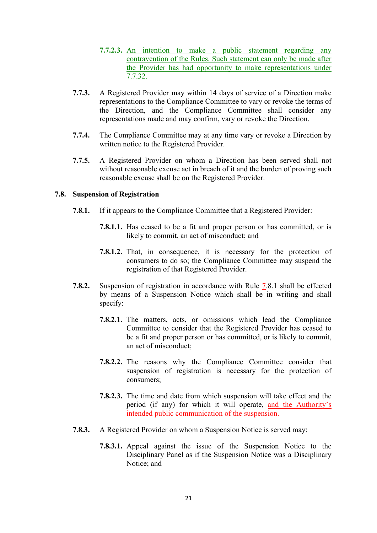- **7.7.2.3.** An intention to make a public statement regarding any contravention of the Rules. Such statement can only be made after the Provider has had opportunity to make representations under 7.7.32.
- **7.7.3.** A Registered Provider may within 14 days of service of a Direction make representations to the Compliance Committee to vary or revoke the terms of the Direction, and the Compliance Committee shall consider any representations made and may confirm, vary or revoke the Direction.
- **7.7.4.** The Compliance Committee may at any time vary or revoke a Direction by written notice to the Registered Provider.
- **7.7.5.** A Registered Provider on whom a Direction has been served shall not without reasonable excuse act in breach of it and the burden of proving such reasonable excuse shall be on the Registered Provider.

#### **7.8. Suspension of Registration**

- **7.8.1.** If it appears to the Compliance Committee that a Registered Provider:
	- **7.8.1.1.** Has ceased to be a fit and proper person or has committed, or is likely to commit, an act of misconduct; and
	- **7.8.1.2.** That, in consequence, it is necessary for the protection of consumers to do so; the Compliance Committee may suspend the registration of that Registered Provider.
- **7.8.2.** Suspension of registration in accordance with Rule 7.8.1 shall be effected by means of a Suspension Notice which shall be in writing and shall specify:
	- **7.8.2.1.** The matters, acts, or omissions which lead the Compliance Committee to consider that the Registered Provider has ceased to be a fit and proper person or has committed, or is likely to commit, an act of misconduct;
	- **7.8.2.2.** The reasons why the Compliance Committee consider that suspension of registration is necessary for the protection of consumers;
	- **7.8.2.3.** The time and date from which suspension will take effect and the period (if any) for which it will operate, and the Authority's intended public communication of the suspension.
- **7.8.3.** A Registered Provider on whom a Suspension Notice is served may:
	- **7.8.3.1.** Appeal against the issue of the Suspension Notice to the Disciplinary Panel as if the Suspension Notice was a Disciplinary Notice; and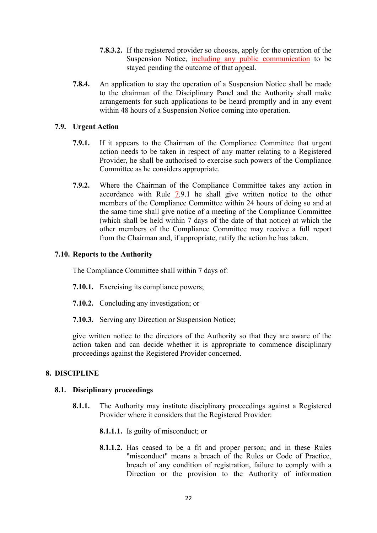- **7.8.3.2.** If the registered provider so chooses, apply for the operation of the Suspension Notice, including any public communication to be stayed pending the outcome of that appeal.
- **7.8.4.** An application to stay the operation of a Suspension Notice shall be made to the chairman of the Disciplinary Panel and the Authority shall make arrangements for such applications to be heard promptly and in any event within 48 hours of a Suspension Notice coming into operation.

#### **7.9. Urgent Action**

- **7.9.1.** If it appears to the Chairman of the Compliance Committee that urgent action needs to be taken in respect of any matter relating to a Registered Provider, he shall be authorised to exercise such powers of the Compliance Committee as he considers appropriate.
- **7.9.2.** Where the Chairman of the Compliance Committee takes any action in accordance with Rule 7.9.1 he shall give written notice to the other members of the Compliance Committee within 24 hours of doing so and at the same time shall give notice of a meeting of the Compliance Committee (which shall be held within 7 days of the date of that notice) at which the other members of the Compliance Committee may receive a full report from the Chairman and, if appropriate, ratify the action he has taken.

## **7.10. Reports to the Authority**

The Compliance Committee shall within 7 days of:

- **7.10.1.** Exercising its compliance powers;
- **7.10.2.** Concluding any investigation; or
- **7.10.3.** Serving any Direction or Suspension Notice;

give written notice to the directors of the Authority so that they are aware of the action taken and can decide whether it is appropriate to commence disciplinary proceedings against the Registered Provider concerned.

# **8. DISCIPLINE**

#### **8.1. Disciplinary proceedings**

- **8.1.1.** The Authority may institute disciplinary proceedings against a Registered Provider where it considers that the Registered Provider:
	- **8.1.1.1.** Is guilty of misconduct; or
	- **8.1.1.2.** Has ceased to be a fit and proper person; and in these Rules "misconduct" means a breach of the Rules or Code of Practice, breach of any condition of registration, failure to comply with a Direction or the provision to the Authority of information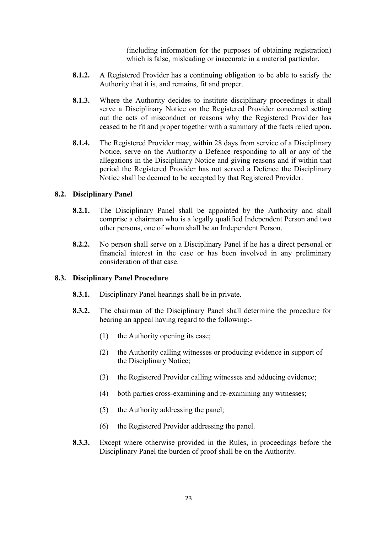(including information for the purposes of obtaining registration) which is false, misleading or inaccurate in a material particular.

- **8.1.2.** A Registered Provider has a continuing obligation to be able to satisfy the Authority that it is, and remains, fit and proper.
- **8.1.3.** Where the Authority decides to institute disciplinary proceedings it shall serve a Disciplinary Notice on the Registered Provider concerned setting out the acts of misconduct or reasons why the Registered Provider has ceased to be fit and proper together with a summary of the facts relied upon.
- **8.1.4.** The Registered Provider may, within 28 days from service of a Disciplinary Notice, serve on the Authority a Defence responding to all or any of the allegations in the Disciplinary Notice and giving reasons and if within that period the Registered Provider has not served a Defence the Disciplinary Notice shall be deemed to be accepted by that Registered Provider.

## **8.2. Disciplinary Panel**

- **8.2.1.** The Disciplinary Panel shall be appointed by the Authority and shall comprise a chairman who is a legally qualified Independent Person and two other persons, one of whom shall be an Independent Person.
- **8.2.2.** No person shall serve on a Disciplinary Panel if he has a direct personal or financial interest in the case or has been involved in any preliminary consideration of that case.

#### **8.3. Disciplinary Panel Procedure**

- **8.3.1.** Disciplinary Panel hearings shall be in private.
- **8.3.2.** The chairman of the Disciplinary Panel shall determine the procedure for hearing an appeal having regard to the following:-
	- (1) the Authority opening its case;
	- (2) the Authority calling witnesses or producing evidence in support of the Disciplinary Notice;
	- (3) the Registered Provider calling witnesses and adducing evidence;
	- (4) both parties cross-examining and re-examining any witnesses;
	- (5) the Authority addressing the panel;
	- (6) the Registered Provider addressing the panel.
- **8.3.3.** Except where otherwise provided in the Rules, in proceedings before the Disciplinary Panel the burden of proof shall be on the Authority.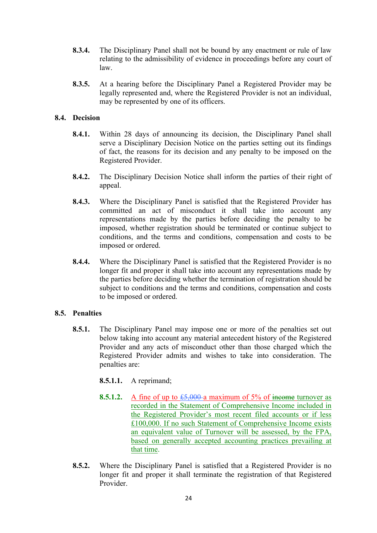- **8.3.4.** The Disciplinary Panel shall not be bound by any enactment or rule of law relating to the admissibility of evidence in proceedings before any court of law.
- **8.3.5.** At a hearing before the Disciplinary Panel a Registered Provider may be legally represented and, where the Registered Provider is not an individual, may be represented by one of its officers.

## **8.4. Decision**

- **8.4.1.** Within 28 days of announcing its decision, the Disciplinary Panel shall serve a Disciplinary Decision Notice on the parties setting out its findings of fact, the reasons for its decision and any penalty to be imposed on the Registered Provider.
- **8.4.2.** The Disciplinary Decision Notice shall inform the parties of their right of appeal.
- **8.4.3.** Where the Disciplinary Panel is satisfied that the Registered Provider has committed an act of misconduct it shall take into account any representations made by the parties before deciding the penalty to be imposed, whether registration should be terminated or continue subject to conditions, and the terms and conditions, compensation and costs to be imposed or ordered.
- **8.4.4.** Where the Disciplinary Panel is satisfied that the Registered Provider is no longer fit and proper it shall take into account any representations made by the parties before deciding whether the termination of registration should be subject to conditions and the terms and conditions, compensation and costs to be imposed or ordered.

# **8.5. Penalties**

**8.5.1.** The Disciplinary Panel may impose one or more of the penalties set out below taking into account any material antecedent history of the Registered Provider and any acts of misconduct other than those charged which the Registered Provider admits and wishes to take into consideration. The penalties are:

# **8.5.1.1.** A reprimand;

- **8.5.1.2.** A fine of up to  $\text{\textsterling}5,000$  a maximum of 5% of income turnover as recorded in the Statement of Comprehensive Income included in the Registered Provider's most recent filed accounts or if less £100,000. If no such Statement of Comprehensive Income exists an equivalent value of Turnover will be assessed, by the FPA, based on generally accepted accounting practices prevailing at that time.
- **8.5.2.** Where the Disciplinary Panel is satisfied that a Registered Provider is no longer fit and proper it shall terminate the registration of that Registered Provider.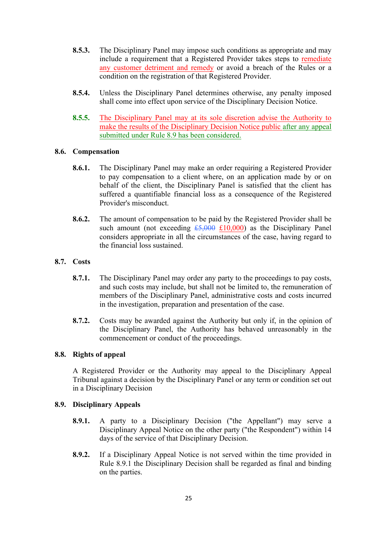- **8.5.3.** The Disciplinary Panel may impose such conditions as appropriate and may include a requirement that a Registered Provider takes steps to remediate any customer detriment and remedy or avoid a breach of the Rules or a condition on the registration of that Registered Provider.
- **8.5.4.** Unless the Disciplinary Panel determines otherwise, any penalty imposed shall come into effect upon service of the Disciplinary Decision Notice.
- **8.5.5.** The Disciplinary Panel may at its sole discretion advise the Authority to make the results of the Disciplinary Decision Notice public after any appeal submitted under Rule 8.9 has been considered.

## **8.6. Compensation**

- **8.6.1.** The Disciplinary Panel may make an order requiring a Registered Provider to pay compensation to a client where, on an application made by or on behalf of the client, the Disciplinary Panel is satisfied that the client has suffered a quantifiable financial loss as a consequence of the Registered Provider's misconduct.
- **8.6.2.** The amount of compensation to be paid by the Registered Provider shall be such amount (not exceeding  $\text{\textsterling}5,000 \text{ \textsterling}10,000$ ) as the Disciplinary Panel considers appropriate in all the circumstances of the case, having regard to the financial loss sustained.

## **8.7. Costs**

- **8.7.1.** The Disciplinary Panel may order any party to the proceedings to pay costs, and such costs may include, but shall not be limited to, the remuneration of members of the Disciplinary Panel, administrative costs and costs incurred in the investigation, preparation and presentation of the case.
- **8.7.2.** Costs may be awarded against the Authority but only if, in the opinion of the Disciplinary Panel, the Authority has behaved unreasonably in the commencement or conduct of the proceedings.

#### **8.8. Rights of appeal**

A Registered Provider or the Authority may appeal to the Disciplinary Appeal Tribunal against a decision by the Disciplinary Panel or any term or condition set out in a Disciplinary Decision

#### **8.9. Disciplinary Appeals**

- **8.9.1.** A party to a Disciplinary Decision ("the Appellant") may serve a Disciplinary Appeal Notice on the other party ("the Respondent") within 14 days of the service of that Disciplinary Decision.
- **8.9.2.** If a Disciplinary Appeal Notice is not served within the time provided in Rule 8.9.1 the Disciplinary Decision shall be regarded as final and binding on the parties.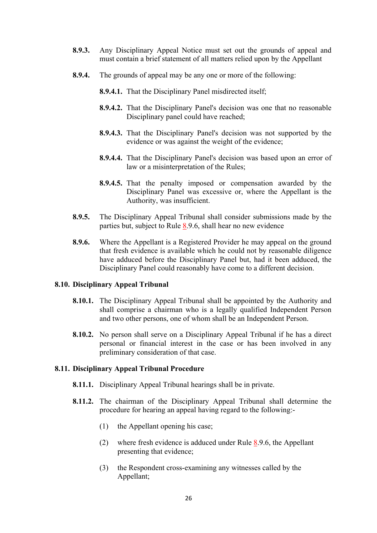- **8.9.3.** Any Disciplinary Appeal Notice must set out the grounds of appeal and must contain a brief statement of all matters relied upon by the Appellant
- **8.9.4.** The grounds of appeal may be any one or more of the following:
	- **8.9.4.1.** That the Disciplinary Panel misdirected itself;
	- **8.9.4.2.** That the Disciplinary Panel's decision was one that no reasonable Disciplinary panel could have reached;
	- **8.9.4.3.** That the Disciplinary Panel's decision was not supported by the evidence or was against the weight of the evidence;
	- **8.9.4.4.** That the Disciplinary Panel's decision was based upon an error of law or a misinterpretation of the Rules;
	- **8.9.4.5.** That the penalty imposed or compensation awarded by the Disciplinary Panel was excessive or, where the Appellant is the Authority, was insufficient.
- **8.9.5.** The Disciplinary Appeal Tribunal shall consider submissions made by the parties but, subject to Rule 8.9.6, shall hear no new evidence
- **8.9.6.** Where the Appellant is a Registered Provider he may appeal on the ground that fresh evidence is available which he could not by reasonable diligence have adduced before the Disciplinary Panel but, had it been adduced, the Disciplinary Panel could reasonably have come to a different decision.

#### **8.10. Disciplinary Appeal Tribunal**

- **8.10.1.** The Disciplinary Appeal Tribunal shall be appointed by the Authority and shall comprise a chairman who is a legally qualified Independent Person and two other persons, one of whom shall be an Independent Person.
- **8.10.2.** No person shall serve on a Disciplinary Appeal Tribunal if he has a direct personal or financial interest in the case or has been involved in any preliminary consideration of that case.

#### **8.11. Disciplinary Appeal Tribunal Procedure**

- **8.11.1.** Disciplinary Appeal Tribunal hearings shall be in private.
- **8.11.2.** The chairman of the Disciplinary Appeal Tribunal shall determine the procedure for hearing an appeal having regard to the following:-
	- (1) the Appellant opening his case;
	- (2) where fresh evidence is adduced under Rule 8.9.6, the Appellant presenting that evidence;
	- (3) the Respondent cross-examining any witnesses called by the Appellant;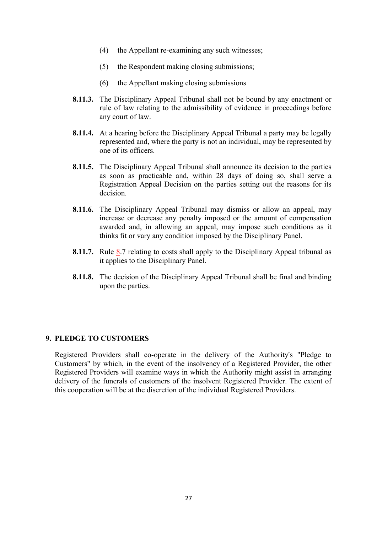- (4) the Appellant re-examining any such witnesses;
- (5) the Respondent making closing submissions;
- (6) the Appellant making closing submissions
- **8.11.3.** The Disciplinary Appeal Tribunal shall not be bound by any enactment or rule of law relating to the admissibility of evidence in proceedings before any court of law.
- **8.11.4.** At a hearing before the Disciplinary Appeal Tribunal a party may be legally represented and, where the party is not an individual, may be represented by one of its officers.
- **8.11.5.** The Disciplinary Appeal Tribunal shall announce its decision to the parties as soon as practicable and, within 28 days of doing so, shall serve a Registration Appeal Decision on the parties setting out the reasons for its decision.
- **8.11.6.** The Disciplinary Appeal Tribunal may dismiss or allow an appeal, may increase or decrease any penalty imposed or the amount of compensation awarded and, in allowing an appeal, may impose such conditions as it thinks fit or vary any condition imposed by the Disciplinary Panel.
- **8.11.7.** Rule 8.7 relating to costs shall apply to the Disciplinary Appeal tribunal as it applies to the Disciplinary Panel.
- **8.11.8.** The decision of the Disciplinary Appeal Tribunal shall be final and binding upon the parties.

## **9. PLEDGE TO CUSTOMERS**

Registered Providers shall co-operate in the delivery of the Authority's "Pledge to Customers" by which, in the event of the insolvency of a Registered Provider, the other Registered Providers will examine ways in which the Authority might assist in arranging delivery of the funerals of customers of the insolvent Registered Provider. The extent of this cooperation will be at the discretion of the individual Registered Providers.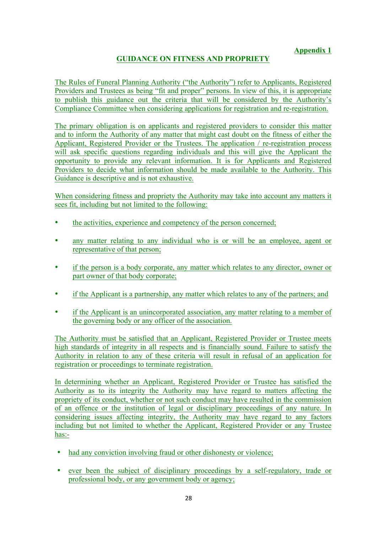# **GUIDANCE ON FITNESS AND PROPRIETY**

The Rules of Funeral Planning Authority ("the Authority") refer to Applicants, Registered Providers and Trustees as being "fit and proper" persons. In view of this, it is appropriate to publish this guidance out the criteria that will be considered by the Authority's Compliance Committee when considering applications for registration and re-registration.

The primary obligation is on applicants and registered providers to consider this matter and to inform the Authority of any matter that might cast doubt on the fitness of either the Applicant, Registered Provider or the Trustees. The application / re-registration process will ask specific questions regarding individuals and this will give the Applicant the opportunity to provide any relevant information. It is for Applicants and Registered Providers to decide what information should be made available to the Authority. This Guidance is descriptive and is not exhaustive.

When considering fitness and propriety the Authority may take into account any matters it sees fit, including but not limited to the following:

- the activities, experience and competency of the person concerned;
- any matter relating to any individual who is or will be an employee, agent or representative of that person;
- if the person is a body corporate, any matter which relates to any director, owner or part owner of that body corporate;
- if the Applicant is a partnership, any matter which relates to any of the partners; and
- if the Applicant is an unincorporated association, any matter relating to a member of the governing body or any officer of the association.

The Authority must be satisfied that an Applicant, Registered Provider or Trustee meets high standards of integrity in all respects and is financially sound. Failure to satisfy the Authority in relation to any of these criteria will result in refusal of an application for registration or proceedings to terminate registration.

In determining whether an Applicant, Registered Provider or Trustee has satisfied the Authority as to its integrity the Authority may have regard to matters affecting the propriety of its conduct, whether or not such conduct may have resulted in the commission of an offence or the institution of legal or disciplinary proceedings of any nature. In considering issues affecting integrity, the Authority may have regard to any factors including but not limited to whether the Applicant, Registered Provider or any Trustee has:-

- had any conviction involving fraud or other dishonesty or violence:
- ever been the subject of disciplinary proceedings by a self-regulatory, trade or professional body, or any government body or agency;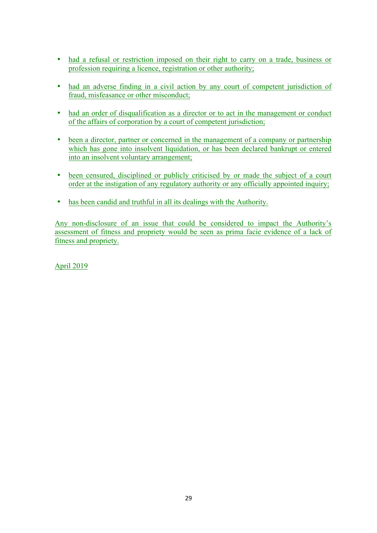- had a refusal or restriction imposed on their right to carry on a trade, business or profession requiring a licence, registration or other authority;
- had an adverse finding in a civil action by any court of competent jurisdiction of fraud, misfeasance or other misconduct;
- had an order of disqualification as a director or to act in the management or conduct of the affairs of corporation by a court of competent jurisdiction;
- been a director, partner or concerned in the management of a company or partnership which has gone into insolvent liquidation, or has been declared bankrupt or entered into an insolvent voluntary arrangement;
- been censured, disciplined or publicly criticised by or made the subject of a court order at the instigation of any regulatory authority or any officially appointed inquiry;
- has been candid and truthful in all its dealings with the Authority.

Any non-disclosure of an issue that could be considered to impact the Authority's assessment of fitness and propriety would be seen as prima facie evidence of a lack of fitness and propriety.

April 2019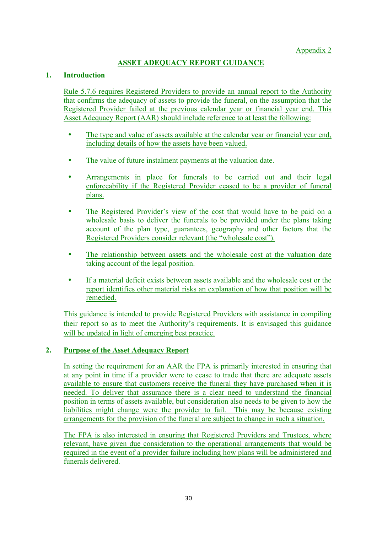# **ASSET ADEQUACY REPORT GUIDANCE**

# **1. Introduction**

Rule 5.7.6 requires Registered Providers to provide an annual report to the Authority that confirms the adequacy of assets to provide the funeral, on the assumption that the Registered Provider failed at the previous calendar year or financial year end. This Asset Adequacy Report (AAR) should include reference to at least the following:

- The type and value of assets available at the calendar year or financial year end, including details of how the assets have been valued.
- The value of future instalment payments at the valuation date.
- Arrangements in place for funerals to be carried out and their legal enforceability if the Registered Provider ceased to be a provider of funeral plans.
- The Registered Provider's view of the cost that would have to be paid on a wholesale basis to deliver the funerals to be provided under the plans taking account of the plan type, guarantees, geography and other factors that the Registered Providers consider relevant (the "wholesale cost").
- The relationship between assets and the wholesale cost at the valuation date taking account of the legal position.
- If a material deficit exists between assets available and the wholesale cost or the report identifies other material risks an explanation of how that position will be remedied.

This guidance is intended to provide Registered Providers with assistance in compiling their report so as to meet the Authority's requirements. It is envisaged this guidance will be updated in light of emerging best practice.

# **2. Purpose of the Asset Adequacy Report**

In setting the requirement for an AAR the FPA is primarily interested in ensuring that at any point in time if a provider were to cease to trade that there are adequate assets available to ensure that customers receive the funeral they have purchased when it is needed. To deliver that assurance there is a clear need to understand the financial position in terms of assets available, but consideration also needs to be given to how the liabilities might change were the provider to fail. This may be because existing arrangements for the provision of the funeral are subject to change in such a situation.

The FPA is also interested in ensuring that Registered Providers and Trustees, where relevant, have given due consideration to the operational arrangements that would be required in the event of a provider failure including how plans will be administered and funerals delivered.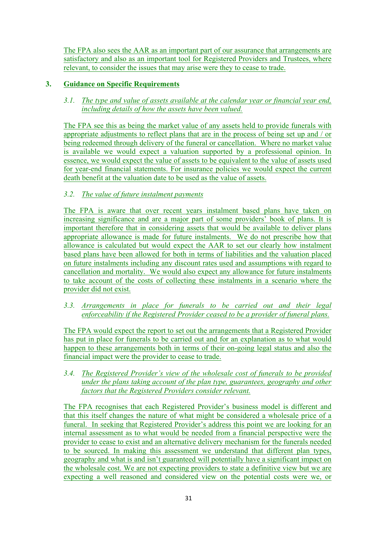The FPA also sees the AAR as an important part of our assurance that arrangements are satisfactory and also as an important tool for Registered Providers and Trustees, where relevant, to consider the issues that may arise were they to cease to trade.

# **3. Guidance on Specific Requirements**

# *3.1. The type and value of assets available at the calendar year or financial year end, including details of how the assets have been valued.*

The FPA see this as being the market value of any assets held to provide funerals with appropriate adjustments to reflect plans that are in the process of being set up and / or being redeemed through delivery of the funeral or cancellation. Where no market value is available we would expect a valuation supported by a professional opinion. In essence, we would expect the value of assets to be equivalent to the value of assets used for year-end financial statements. For insurance policies we would expect the current death benefit at the valuation date to be used as the value of assets.

# *3.2. The value of future instalment payments*

The FPA is aware that over recent years instalment based plans have taken on increasing significance and are a major part of some providers' book of plans. It is important therefore that in considering assets that would be available to deliver plans appropriate allowance is made for future instalments. We do not prescribe how that allowance is calculated but would expect the AAR to set our clearly how instalment based plans have been allowed for both in terms of liabilities and the valuation placed on future instalments including any discount rates used and assumptions with regard to cancellation and mortality. We would also expect any allowance for future instalments to take account of the costs of collecting these instalments in a scenario where the provider did not exist.

# *3.3. Arrangements in place for funerals to be carried out and their legal enforceability if the Registered Provider ceased to be a provider of funeral plans.*

The FPA would expect the report to set out the arrangements that a Registered Provider has put in place for funerals to be carried out and for an explanation as to what would happen to these arrangements both in terms of their on-going legal status and also the financial impact were the provider to cease to trade.

# *3.4. The Registered Provider's view of the wholesale cost of funerals to be provided under the plans taking account of the plan type, guarantees, geography and other factors that the Registered Providers consider relevant.*

The FPA recognises that each Registered Provider's business model is different and that this itself changes the nature of what might be considered a wholesale price of a funeral. In seeking that Registered Provider's address this point we are looking for an internal assessment as to what would be needed from a financial perspective were the provider to cease to exist and an alternative delivery mechanism for the funerals needed to be sourced. In making this assessment we understand that different plan types, geography and what is and isn't guaranteed will potentially have a significant impact on the wholesale cost. We are not expecting providers to state a definitive view but we are expecting a well reasoned and considered view on the potential costs were we, or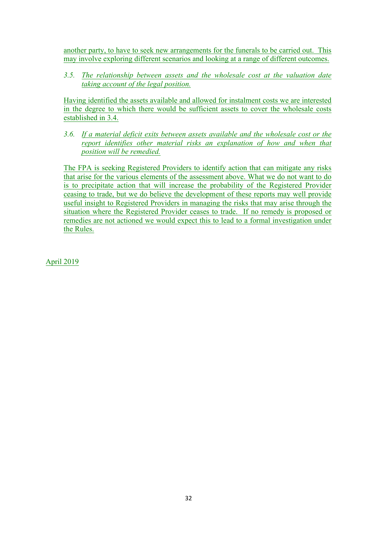another party, to have to seek new arrangements for the funerals to be carried out. This may involve exploring different scenarios and looking at a range of different outcomes.

*3.5. The relationship between assets and the wholesale cost at the valuation date taking account of the legal position.*

Having identified the assets available and allowed for instalment costs we are interested in the degree to which there would be sufficient assets to cover the wholesale costs established in 3.4.

*3.6. If a material deficit exits between assets available and the wholesale cost or the report identifies other material risks an explanation of how and when that position will be remedied.*

The FPA is seeking Registered Providers to identify action that can mitigate any risks that arise for the various elements of the assessment above. What we do not want to do is to precipitate action that will increase the probability of the Registered Provider ceasing to trade, but we do believe the development of these reports may well provide useful insight to Registered Providers in managing the risks that may arise through the situation where the Registered Provider ceases to trade. If no remedy is proposed or remedies are not actioned we would expect this to lead to a formal investigation under the Rules.

April 2019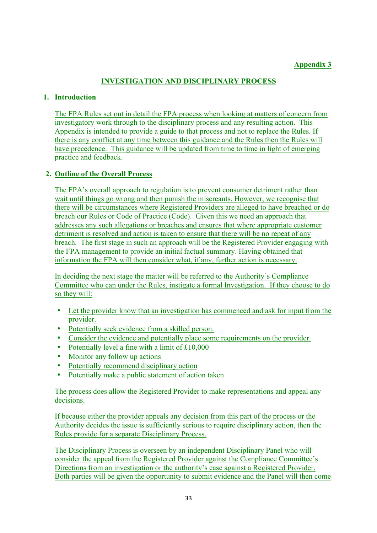# **Appendix 3**

# **INVESTIGATION AND DISCIPLINARY PROCESS**

## **1. Introduction**

The FPA Rules set out in detail the FPA process when looking at matters of concern from investigatory work through to the disciplinary process and any resulting action. This Appendix is intended to provide a guide to that process and not to replace the Rules. If there is any conflict at any time between this guidance and the Rules then the Rules will have precedence. This guidance will be updated from time to time in light of emerging practice and feedback.

# **2. Outline of the Overall Process**

The FPA's overall approach to regulation is to prevent consumer detriment rather than wait until things go wrong and then punish the miscreants. However, we recognise that there will be circumstances where Registered Providers are alleged to have breached or do breach our Rules or Code of Practice (Code). Given this we need an approach that addresses any such allegations or breaches and ensures that where appropriate customer detriment is resolved and action is taken to ensure that there will be no repeat of any breach. The first stage in such an approach will be the Registered Provider engaging with the FPA management to provide an initial factual summary. Having obtained that information the FPA will then consider what, if any, further action is necessary.

In deciding the next stage the matter will be referred to the Authority's Compliance Committee who can under the Rules, instigate a formal Investigation. If they choose to do so they will:

- Let the provider know that an investigation has commenced and ask for input from the provider.
- Potentially seek evidence from a skilled person.
- Consider the evidence and potentially place some requirements on the provider.
- Potentially level a fine with a limit of £10,000
- Monitor any follow up actions
- Potentially recommend disciplinary action
- Potentially make a public statement of action taken

The process does allow the Registered Provider to make representations and appeal any decisions.

If because either the provider appeals any decision from this part of the process or the Authority decides the issue is sufficiently serious to require disciplinary action, then the Rules provide for a separate Disciplinary Process.

The Disciplinary Process is overseen by an independent Disciplinary Panel who will consider the appeal from the Registered Provider against the Compliance Committee's Directions from an investigation or the authority's case against a Registered Provider. Both parties will be given the opportunity to submit evidence and the Panel will then come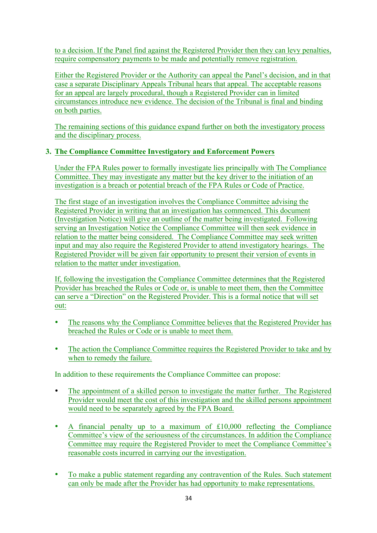to a decision. If the Panel find against the Registered Provider then they can levy penalties, require compensatory payments to be made and potentially remove registration.

Either the Registered Provider or the Authority can appeal the Panel's decision, and in that case a separate Disciplinary Appeals Tribunal hears that appeal. The acceptable reasons for an appeal are largely procedural, though a Registered Provider can in limited circumstances introduce new evidence. The decision of the Tribunal is final and binding on both parties.

The remaining sections of this guidance expand further on both the investigatory process and the disciplinary process.

# **3. The Compliance Committee Investigatory and Enforcement Powers**

Under the FPA Rules power to formally investigate lies principally with The Compliance Committee. They may investigate any matter but the key driver to the initiation of an investigation is a breach or potential breach of the FPA Rules or Code of Practice.

The first stage of an investigation involves the Compliance Committee advising the Registered Provider in writing that an investigation has commenced. This document (Investigation Notice) will give an outline of the matter being investigated. Following serving an Investigation Notice the Compliance Committee will then seek evidence in relation to the matter being considered. The Compliance Committee may seek written input and may also require the Registered Provider to attend investigatory hearings. The Registered Provider will be given fair opportunity to present their version of events in relation to the matter under investigation.

If, following the investigation the Compliance Committee determines that the Registered Provider has breached the Rules or Code or, is unable to meet them, then the Committee can serve a "Direction" on the Registered Provider. This is a formal notice that will set out:

- The reasons why the Compliance Committee believes that the Registered Provider has breached the Rules or Code or is unable to meet them.
- The action the Compliance Committee requires the Registered Provider to take and by when to remedy the failure.

In addition to these requirements the Compliance Committee can propose:

- The appointment of a skilled person to investigate the matter further. The Registered Provider would meet the cost of this investigation and the skilled persons appointment would need to be separately agreed by the FPA Board.
- A financial penalty up to a maximum of £10,000 reflecting the Compliance Committee's view of the seriousness of the circumstances. In addition the Compliance Committee may require the Registered Provider to meet the Compliance Committee's reasonable costs incurred in carrying our the investigation.
- To make a public statement regarding any contravention of the Rules. Such statement can only be made after the Provider has had opportunity to make representations.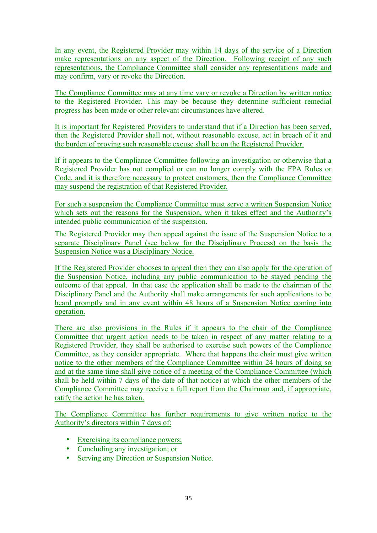In any event, the Registered Provider may within 14 days of the service of a Direction make representations on any aspect of the Direction. Following receipt of any such representations, the Compliance Committee shall consider any representations made and may confirm, vary or revoke the Direction.

The Compliance Committee may at any time vary or revoke a Direction by written notice to the Registered Provider. This may be because they determine sufficient remedial progress has been made or other relevant circumstances have altered.

It is important for Registered Providers to understand that if a Direction has been served, then the Registered Provider shall not, without reasonable excuse, act in breach of it and the burden of proving such reasonable excuse shall be on the Registered Provider.

If it appears to the Compliance Committee following an investigation or otherwise that a Registered Provider has not complied or can no longer comply with the FPA Rules or Code, and it is therefore necessary to protect customers, then the Compliance Committee may suspend the registration of that Registered Provider.

For such a suspension the Compliance Committee must serve a written Suspension Notice which sets out the reasons for the Suspension, when it takes effect and the Authority's intended public communication of the suspension.

The Registered Provider may then appeal against the issue of the Suspension Notice to a separate Disciplinary Panel (see below for the Disciplinary Process) on the basis the Suspension Notice was a Disciplinary Notice.

If the Registered Provider chooses to appeal then they can also apply for the operation of the Suspension Notice, including any public communication to be stayed pending the outcome of that appeal. In that case the application shall be made to the chairman of the Disciplinary Panel and the Authority shall make arrangements for such applications to be heard promptly and in any event within 48 hours of a Suspension Notice coming into operation.

There are also provisions in the Rules if it appears to the chair of the Compliance Committee that urgent action needs to be taken in respect of any matter relating to a Registered Provider, they shall be authorised to exercise such powers of the Compliance Committee, as they consider appropriate. Where that happens the chair must give written notice to the other members of the Compliance Committee within 24 hours of doing so and at the same time shall give notice of a meeting of the Compliance Committee (which shall be held within 7 days of the date of that notice) at which the other members of the Compliance Committee may receive a full report from the Chairman and, if appropriate, ratify the action he has taken.

The Compliance Committee has further requirements to give written notice to the Authority's directors within 7 days of:

- Exercising its compliance powers;
- Concluding any investigation; or
- Serving any Direction or Suspension Notice.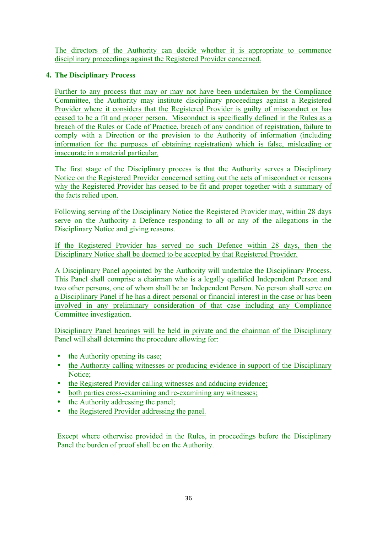The directors of the Authority can decide whether it is appropriate to commence disciplinary proceedings against the Registered Provider concerned.

# **4. The Disciplinary Process**

Further to any process that may or may not have been undertaken by the Compliance Committee, the Authority may institute disciplinary proceedings against a Registered Provider where it considers that the Registered Provider is guilty of misconduct or has ceased to be a fit and proper person. Misconduct is specifically defined in the Rules as a breach of the Rules or Code of Practice, breach of any condition of registration, failure to comply with a Direction or the provision to the Authority of information (including information for the purposes of obtaining registration) which is false, misleading or inaccurate in a material particular.

The first stage of the Disciplinary process is that the Authority serves a Disciplinary Notice on the Registered Provider concerned setting out the acts of misconduct or reasons why the Registered Provider has ceased to be fit and proper together with a summary of the facts relied upon.

Following serving of the Disciplinary Notice the Registered Provider may, within 28 days serve on the Authority a Defence responding to all or any of the allegations in the Disciplinary Notice and giving reasons.

If the Registered Provider has served no such Defence within 28 days, then the Disciplinary Notice shall be deemed to be accepted by that Registered Provider.

A Disciplinary Panel appointed by the Authority will undertake the Disciplinary Process. This Panel shall comprise a chairman who is a legally qualified Independent Person and two other persons, one of whom shall be an Independent Person. No person shall serve on a Disciplinary Panel if he has a direct personal or financial interest in the case or has been involved in any preliminary consideration of that case including any Compliance Committee investigation.

Disciplinary Panel hearings will be held in private and the chairman of the Disciplinary Panel will shall determine the procedure allowing for:

- the Authority opening its case;
- the Authority calling witnesses or producing evidence in support of the Disciplinary Notice;
- the Registered Provider calling witnesses and adducing evidence;
- both parties cross-examining and re-examining any witnesses;
- the Authority addressing the panel;
- the Registered Provider addressing the panel.

Except where otherwise provided in the Rules, in proceedings before the Disciplinary Panel the burden of proof shall be on the Authority.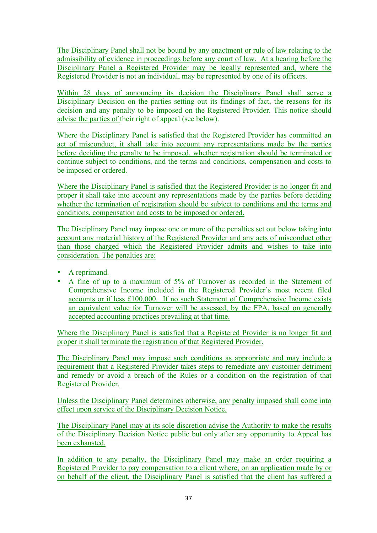The Disciplinary Panel shall not be bound by any enactment or rule of law relating to the admissibility of evidence in proceedings before any court of law. At a hearing before the Disciplinary Panel a Registered Provider may be legally represented and, where the Registered Provider is not an individual, may be represented by one of its officers.

Within 28 days of announcing its decision the Disciplinary Panel shall serve a Disciplinary Decision on the parties setting out its findings of fact, the reasons for its decision and any penalty to be imposed on the Registered Provider. This notice should advise the parties of their right of appeal (see below).

Where the Disciplinary Panel is satisfied that the Registered Provider has committed an act of misconduct, it shall take into account any representations made by the parties before deciding the penalty to be imposed, whether registration should be terminated or continue subject to conditions, and the terms and conditions, compensation and costs to be imposed or ordered.

Where the Disciplinary Panel is satisfied that the Registered Provider is no longer fit and proper it shall take into account any representations made by the parties before deciding whether the termination of registration should be subject to conditions and the terms and conditions, compensation and costs to be imposed or ordered.

The Disciplinary Panel may impose one or more of the penalties set out below taking into account any material history of the Registered Provider and any acts of misconduct other than those charged which the Registered Provider admits and wishes to take into consideration. The penalties are:

- A reprimand.
- A fine of up to a maximum of 5% of Turnover as recorded in the Statement of Comprehensive Income included in the Registered Provider's most recent filed accounts or if less £100,000. If no such Statement of Comprehensive Income exists an equivalent value for Turnover will be assessed, by the FPA, based on generally accepted accounting practices prevailing at that time.

Where the Disciplinary Panel is satisfied that a Registered Provider is no longer fit and proper it shall terminate the registration of that Registered Provider.

The Disciplinary Panel may impose such conditions as appropriate and may include a requirement that a Registered Provider takes steps to remediate any customer detriment and remedy or avoid a breach of the Rules or a condition on the registration of that Registered Provider.

Unless the Disciplinary Panel determines otherwise, any penalty imposed shall come into effect upon service of the Disciplinary Decision Notice.

The Disciplinary Panel may at its sole discretion advise the Authority to make the results of the Disciplinary Decision Notice public but only after any opportunity to Appeal has been exhausted.

In addition to any penalty, the Disciplinary Panel may make an order requiring a Registered Provider to pay compensation to a client where, on an application made by or on behalf of the client, the Disciplinary Panel is satisfied that the client has suffered a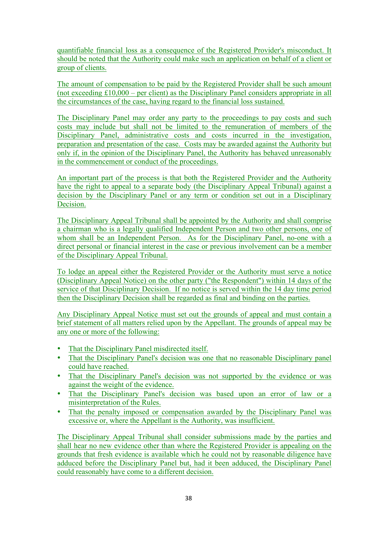quantifiable financial loss as a consequence of the Registered Provider's misconduct. It should be noted that the Authority could make such an application on behalf of a client or group of clients.

The amount of compensation to be paid by the Registered Provider shall be such amount (not exceeding £10,000 – per client) as the Disciplinary Panel considers appropriate in all the circumstances of the case, having regard to the financial loss sustained.

The Disciplinary Panel may order any party to the proceedings to pay costs and such costs may include but shall not be limited to the remuneration of members of the Disciplinary Panel, administrative costs and costs incurred in the investigation, preparation and presentation of the case. Costs may be awarded against the Authority but only if, in the opinion of the Disciplinary Panel, the Authority has behaved unreasonably in the commencement or conduct of the proceedings.

An important part of the process is that both the Registered Provider and the Authority have the right to appeal to a separate body (the Disciplinary Appeal Tribunal) against a decision by the Disciplinary Panel or any term or condition set out in a Disciplinary Decision.

The Disciplinary Appeal Tribunal shall be appointed by the Authority and shall comprise a chairman who is a legally qualified Independent Person and two other persons, one of whom shall be an Independent Person. As for the Disciplinary Panel, no-one with a direct personal or financial interest in the case or previous involvement can be a member of the Disciplinary Appeal Tribunal.

To lodge an appeal either the Registered Provider or the Authority must serve a notice (Disciplinary Appeal Notice) on the other party ("the Respondent") within 14 days of the service of that Disciplinary Decision. If no notice is served within the 14 day time period then the Disciplinary Decision shall be regarded as final and binding on the parties.

Any Disciplinary Appeal Notice must set out the grounds of appeal and must contain a brief statement of all matters relied upon by the Appellant. The grounds of appeal may be any one or more of the following:

- That the Disciplinary Panel misdirected itself.
- That the Disciplinary Panel's decision was one that no reasonable Disciplinary panel could have reached.
- That the Disciplinary Panel's decision was not supported by the evidence or was against the weight of the evidence.
- That the Disciplinary Panel's decision was based upon an error of law or a misinterpretation of the Rules.
- That the penalty imposed or compensation awarded by the Disciplinary Panel was excessive or, where the Appellant is the Authority, was insufficient.

The Disciplinary Appeal Tribunal shall consider submissions made by the parties and shall hear no new evidence other than where the Registered Provider is appealing on the grounds that fresh evidence is available which he could not by reasonable diligence have adduced before the Disciplinary Panel but, had it been adduced, the Disciplinary Panel could reasonably have come to a different decision.